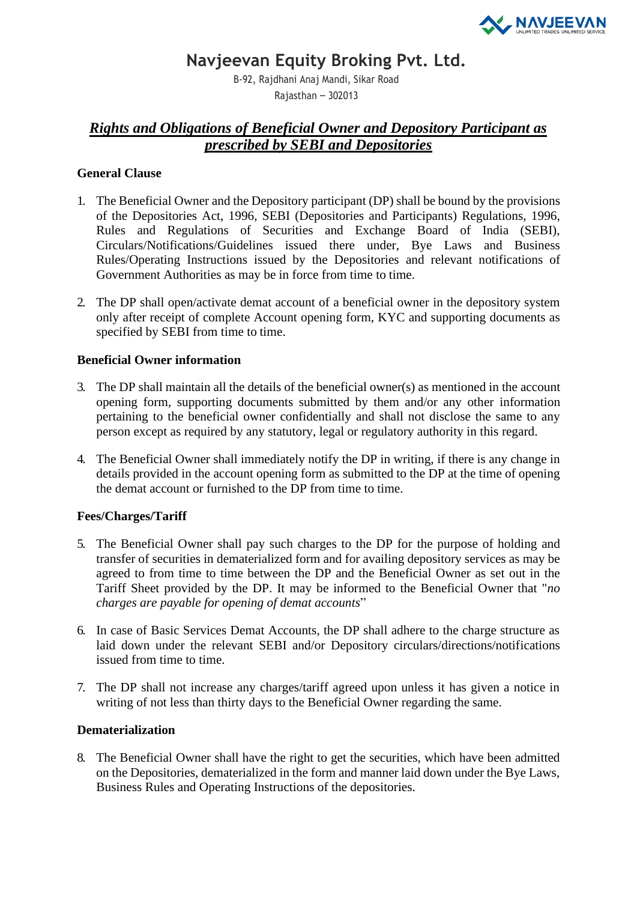

# **Navjeevan Equity Broking Pvt. Ltd.**

B-92, Rajdhani Anaj Mandi, Sikar Road Rajasthan – 302013

# *Rights and Obligations of Beneficial Owner and Depository Participant as prescribed by SEBI and Depositories*

## **General Clause**

- 1. The Beneficial Owner and the Depository participant (DP) shall be bound by the provisions of the Depositories Act, 1996, SEBI (Depositories and Participants) Regulations, 1996, Rules and Regulations of Securities and Exchange Board of India (SEBI), Circulars/Notifications/Guidelines issued there under, Bye Laws and Business Rules/Operating Instructions issued by the Depositories and relevant notifications of Government Authorities as may be in force from time to time.
- 2. The DP shall open/activate demat account of a beneficial owner in the depository system only after receipt of complete Account opening form, KYC and supporting documents as specified by SEBI from time to time.

## **Beneficial Owner information**

- 3. The DP shall maintain all the details of the beneficial owner(s) as mentioned in the account opening form, supporting documents submitted by them and/or any other information pertaining to the beneficial owner confidentially and shall not disclose the same to any person except as required by any statutory, legal or regulatory authority in this regard.
- 4. The Beneficial Owner shall immediately notify the DP in writing, if there is any change in details provided in the account opening form as submitted to the DP at the time of opening the demat account or furnished to the DP from time to time.

## **Fees/Charges/Tariff**

- 5. The Beneficial Owner shall pay such charges to the DP for the purpose of holding and transfer of securities in dematerialized form and for availing depository services as may be agreed to from time to time between the DP and the Beneficial Owner as set out in the Tariff Sheet provided by the DP. It may be informed to the Beneficial Owner that "*no charges are payable for opening of demat accounts*"
- 6. In case of Basic Services Demat Accounts, the DP shall adhere to the charge structure as laid down under the relevant SEBI and/or Depository circulars/directions/notifications issued from time to time.
- 7. The DP shall not increase any charges/tariff agreed upon unless it has given a notice in writing of not less than thirty days to the Beneficial Owner regarding the same.

## **Dematerialization**

8. The Beneficial Owner shall have the right to get the securities, which have been admitted on the Depositories, dematerialized in the form and manner laid down under the Bye Laws, Business Rules and Operating Instructions of the depositories.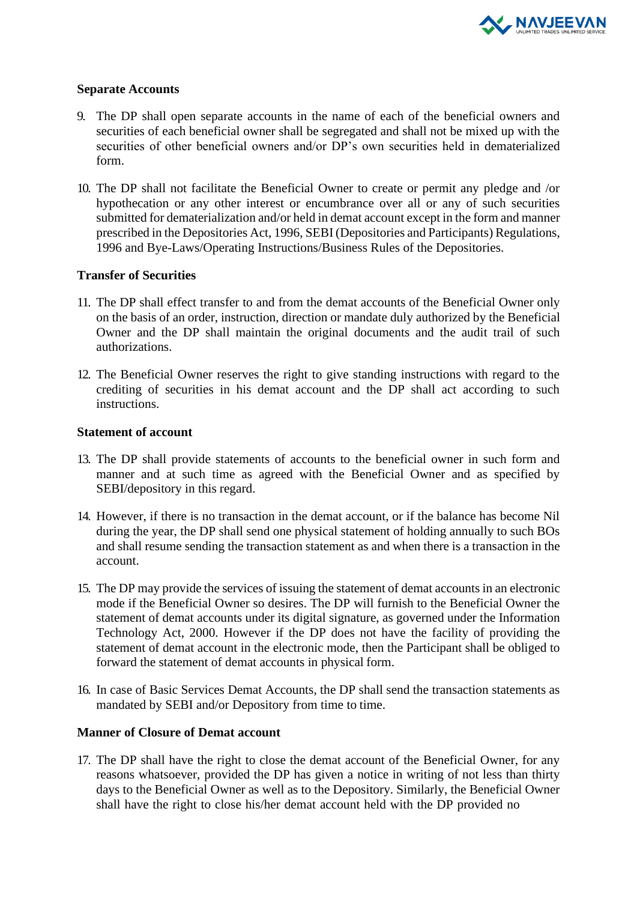

## **Separate Accounts**

- 9. The DP shall open separate accounts in the name of each of the beneficial owners and securities of each beneficial owner shall be segregated and shall not be mixed up with the securities of other beneficial owners and/or DP's own securities held in dematerialized form.
- 10. The DP shall not facilitate the Beneficial Owner to create or permit any pledge and /or hypothecation or any other interest or encumbrance over all or any of such securities submitted for dematerialization and/or held in demat account except in the form and manner prescribed in the Depositories Act, 1996, SEBI (Depositories and Participants) Regulations, 1996 and Bye-Laws/Operating Instructions/Business Rules of the Depositories.

## **Transfer of Securities**

- 11. The DP shall effect transfer to and from the demat accounts of the Beneficial Owner only on the basis of an order, instruction, direction or mandate duly authorized by the Beneficial Owner and the DP shall maintain the original documents and the audit trail of such authorizations.
- 12. The Beneficial Owner reserves the right to give standing instructions with regard to the crediting of securities in his demat account and the DP shall act according to such instructions.

## **Statement of account**

- 13. The DP shall provide statements of accounts to the beneficial owner in such form and manner and at such time as agreed with the Beneficial Owner and as specified by SEBI/depository in this regard.
- 14. However, if there is no transaction in the demat account, or if the balance has become Nil during the year, the DP shall send one physical statement of holding annually to such BOs and shall resume sending the transaction statement as and when there is a transaction in the account.
- 15. The DP may provide the services of issuing the statement of demat accounts in an electronic mode if the Beneficial Owner so desires. The DP will furnish to the Beneficial Owner the statement of demat accounts under its digital signature, as governed under the Information Technology Act, 2000. However if the DP does not have the facility of providing the statement of demat account in the electronic mode, then the Participant shall be obliged to forward the statement of demat accounts in physical form.
- 16. In case of Basic Services Demat Accounts, the DP shall send the transaction statements as mandated by SEBI and/or Depository from time to time.

## **Manner of Closure of Demat account**

17. The DP shall have the right to close the demat account of the Beneficial Owner, for any reasons whatsoever, provided the DP has given a notice in writing of not less than thirty days to the Beneficial Owner as well as to the Depository. Similarly, the Beneficial Owner shall have the right to close his/her demat account held with the DP provided no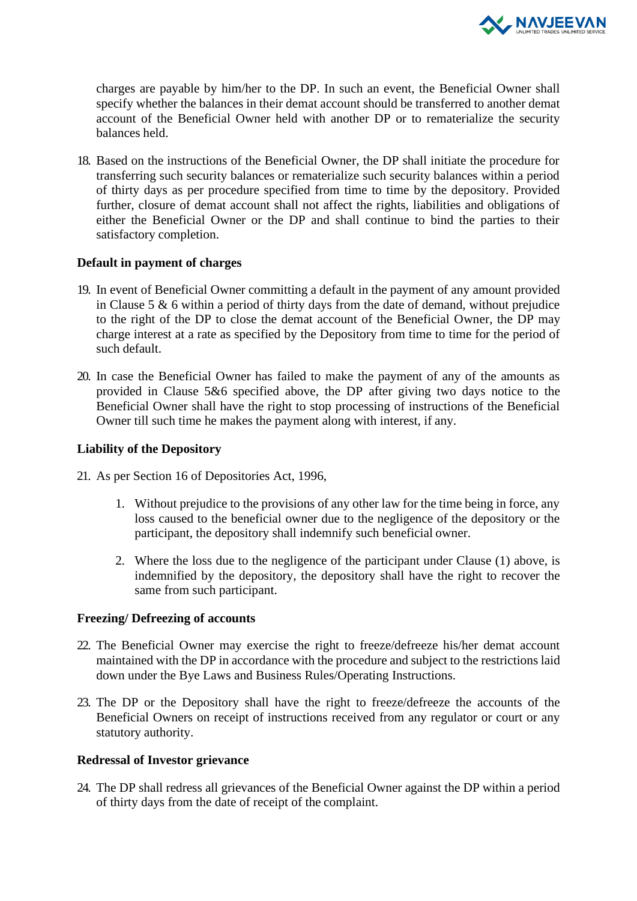

charges are payable by him/her to the DP. In such an event, the Beneficial Owner shall specify whether the balances in their demat account should be transferred to another demat account of the Beneficial Owner held with another DP or to rematerialize the security balances held.

18. Based on the instructions of the Beneficial Owner, the DP shall initiate the procedure for transferring such security balances or rematerialize such security balances within a period of thirty days as per procedure specified from time to time by the depository. Provided further, closure of demat account shall not affect the rights, liabilities and obligations of either the Beneficial Owner or the DP and shall continue to bind the parties to their satisfactory completion.

## **Default in payment of charges**

- 19. In event of Beneficial Owner committing a default in the payment of any amount provided in Clause 5  $\&$  6 within a period of thirty days from the date of demand, without prejudice to the right of the DP to close the demat account of the Beneficial Owner, the DP may charge interest at a rate as specified by the Depository from time to time for the period of such default.
- 20. In case the Beneficial Owner has failed to make the payment of any of the amounts as provided in Clause 5&6 specified above, the DP after giving two days notice to the Beneficial Owner shall have the right to stop processing of instructions of the Beneficial Owner till such time he makes the payment along with interest, if any.

## **Liability of the Depository**

- 21. As per Section 16 of Depositories Act, 1996,
	- 1. Without prejudice to the provisions of any other law for the time being in force, any loss caused to the beneficial owner due to the negligence of the depository or the participant, the depository shall indemnify such beneficial owner.
	- 2. Where the loss due to the negligence of the participant under Clause (1) above, is indemnified by the depository, the depository shall have the right to recover the same from such participant.

## **Freezing/ Defreezing of accounts**

- 22. The Beneficial Owner may exercise the right to freeze/defreeze his/her demat account maintained with the DP in accordance with the procedure and subject to the restrictions laid down under the Bye Laws and Business Rules/Operating Instructions.
- 23. The DP or the Depository shall have the right to freeze/defreeze the accounts of the Beneficial Owners on receipt of instructions received from any regulator or court or any statutory authority.

## **Redressal of Investor grievance**

24. The DP shall redress all grievances of the Beneficial Owner against the DP within a period of thirty days from the date of receipt of the complaint.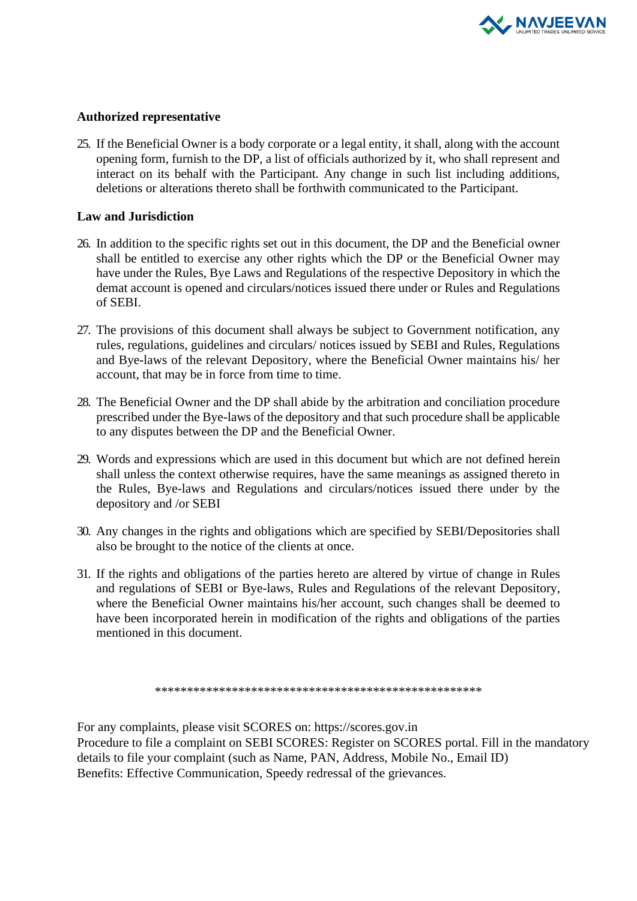

## **Authorized representative**

25. If the Beneficial Owner is a body corporate or a legal entity, it shall, along with the account opening form, furnish to the DP, a list of officials authorized by it, who shall represent and interact on its behalf with the Participant. Any change in such list including additions, deletions or alterations thereto shall be forthwith communicated to the Participant.

## **Law and Jurisdiction**

- 26. In addition to the specific rights set out in this document, the DP and the Beneficial owner shall be entitled to exercise any other rights which the DP or the Beneficial Owner may have under the Rules, Bye Laws and Regulations of the respective Depository in which the demat account is opened and circulars/notices issued there under or Rules and Regulations of SEBI.
- 27. The provisions of this document shall always be subject to Government notification, any rules, regulations, guidelines and circulars/ notices issued by SEBI and Rules, Regulations and Bye-laws of the relevant Depository, where the Beneficial Owner maintains his/ her account, that may be in force from time to time.
- 28. The Beneficial Owner and the DP shall abide by the arbitration and conciliation procedure prescribed under the Bye-laws of the depository and that such procedure shall be applicable to any disputes between the DP and the Beneficial Owner.
- 29. Words and expressions which are used in this document but which are not defined herein shall unless the context otherwise requires, have the same meanings as assigned thereto in the Rules, Bye-laws and Regulations and circulars/notices issued there under by the depository and /or SEBI
- 30. Any changes in the rights and obligations which are specified by SEBI/Depositories shall also be brought to the notice of the clients at once.
- 31. If the rights and obligations of the parties hereto are altered by virtue of change in Rules and regulations of SEBI or Bye-laws, Rules and Regulations of the relevant Depository, where the Beneficial Owner maintains his/her account, such changes shall be deemed to have been incorporated herein in modification of the rights and obligations of the parties mentioned in this document.

\*\*\*\*\*\*\*\*\*\*\*\*\*\*\*\*\*\*\*\*\*\*\*\*\*\*\*\*\*\*\*\*\*\*\*\*\*\*\*\*\*\*\*\*\*\*\*\*\*\*\*

For any complaints, please visit SCORES on: https://scores.gov.in Procedure to file a complaint on SEBI SCORES: Register on SCORES portal. Fill in the mandatory details to file your complaint (such as Name, PAN, Address, Mobile No., Email ID) Benefits: Effective Communication, Speedy redressal of the grievances.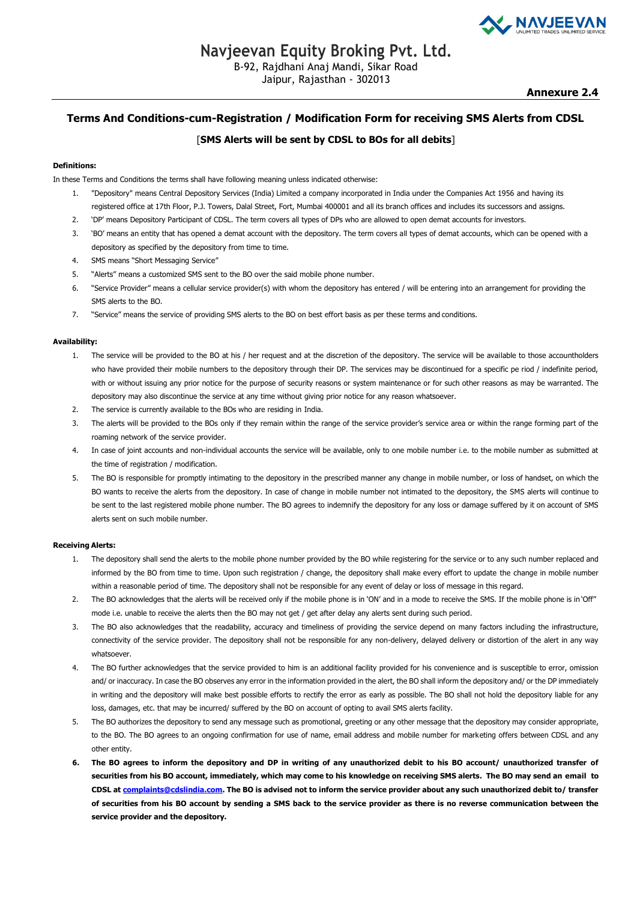

Jaipur, Rajasthan - 302013

### **Terms And Conditions-cum-Registration / Modification Form for receiving SMS Alerts from CDSL**

### [**SMS Alerts will be sent by CDSL to BOs for all debits**]

### **Definitions:**

In these Terms and Conditions the terms shall have following meaning unless indicated otherwise:

- 1. "Depository" means Central Depository Services (India) Limited a company incorporated in India under the Companies Act 1956 and having its registered office at 17th Floor, P.J. Towers, Dalal Street, Fort, Mumbai 400001 and all its branch offices and includes its successors and assigns.
- 2. 'DP' means Depository Participant of CDSL. The term covers all types of DPs who are allowed to open demat accounts for investors.
- 'BO' means an entity that has opened a demat account with the depository. The term covers all types of demat accounts, which can be opened with a depository as specified by the depository from time to time.
- 4. SMS means "Short Messaging Service"
- 5. "Alerts" means a customized SMS sent to the BO over the said mobile phone number.
- 6. "Service Provider" means a cellular service provider(s) with whom the depository has entered / will be entering into an arrangement for providing the SMS alerts to the BO.
- 7. "Service" means the service of providing SMS alerts to the BO on best effort basis as per these terms and conditions.

### **Availability:**

- 1. The service will be provided to the BO at his / her request and at the discretion of the depository. The service will be available to those accountholders who have provided their mobile numbers to the depository through their DP. The services may be discontinued for a specific pe riod / indefinite period, with or without issuing any prior notice for the purpose of security reasons or system maintenance or for such other reasons as may be warranted. The depository may also discontinue the service at any time without giving prior notice for any reason whatsoever.
- 2. The service is currently available to the BOs who are residing in India.
- 3. The alerts will be provided to the BOs only if they remain within the range of the service provider's service area or within the range forming part of the roaming network of the service provider.
- 4. In case of joint accounts and non-individual accounts the service will be available, only to one mobile number i.e. to the mobile number as submitted at the time of registration / modification.
- 5. The BO is responsible for promptly intimating to the depository in the prescribed manner any change in mobile number, or loss of handset, on which the BO wants to receive the alerts from the depository. In case of change in mobile number not intimated to the depository, the SMS alerts will continue to be sent to the last registered mobile phone number. The BO agrees to indemnify the depository for any loss or damage suffered by it on account of SMS alerts sent on such mobile number.

#### **Receiving Alerts:**

- 1. The depository shall send the alerts to the mobile phone number provided by the BO while registering for the service or to any such number replaced and informed by the BO from time to time. Upon such registration / change, the depository shall make every effort to update the change in mobile number within a reasonable period of time. The depository shall not be responsible for any event of delay or loss of message in this regard.
- 2. The BO acknowledges that the alerts will be received only if the mobile phone is in 'ON' and in a mode to receive the SMS. If the mobile phone is in 'Off" mode i.e. unable to receive the alerts then the BO may not get / get after delay any alerts sent during such period.
- 3. The BO also acknowledges that the readability, accuracy and timeliness of providing the service depend on many factors including the infrastructure, connectivity of the service provider. The depository shall not be responsible for any non-delivery, delayed delivery or distortion of the alert in any way whatsoever.
- 4. The BO further acknowledges that the service provided to him is an additional facility provided for his convenience and is susceptible to error, omission and/ or inaccuracy. In case the BO observes any error in the information provided in the alert, the BO shall inform the depository and/ or the DP immediately [in writing and the depository w](mailto:complaints@cdslindia.com)ill make best possible efforts to rectify the error as early as possible. The BO shall not hold the depository liable for any loss, damages, etc. that may be incurred/ suffered by the BO on account of opting to avail SMS alerts facility.
- 5. The BO authorizes the depository to send any message such as promotional, greeting or any other message that the depository may consider appropriate, to the BO. The BO agrees to an ongoing confirmation for use of name, email address and mobile number for marketing offers between CDSL and any other entity.
- **6. The BO agrees to inform the depository and DP in writing of any unauthorized debit to his BO account/ unauthorized transfer of securities from his BO account, immediately, which may come to his knowledge on receiving SMS alerts. The BO may send an email to CDSL at [complaints@cdslindia.com.](mailto:complaints@cdslindia.com) The BO is advised not to inform the service provider about any such unauthorized debit to/ transfer of securities from his BO account by sending a SMS back to the service provider as there is no reverse communication between the service provider and the depository.**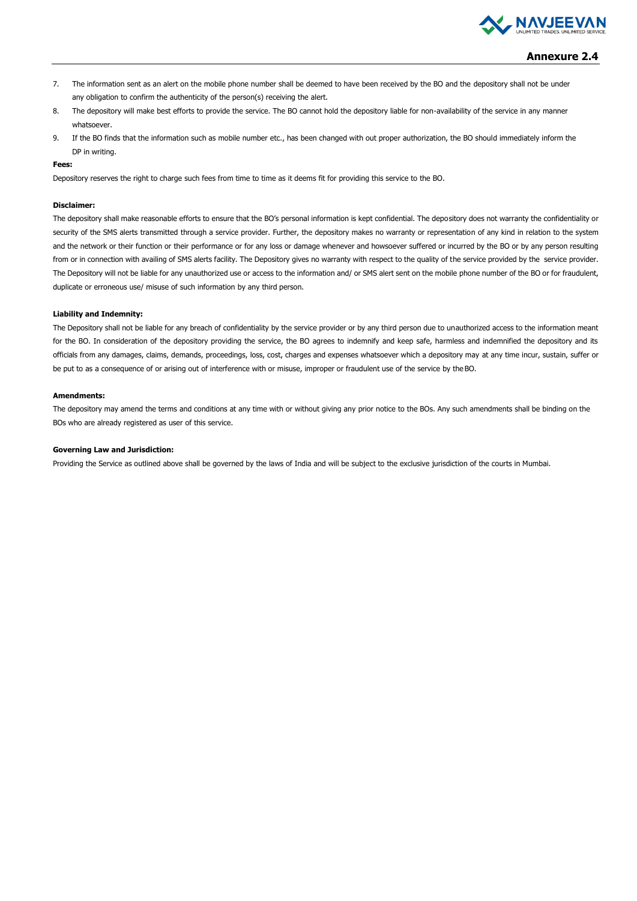

### **Annexure 2.4**

- 7. The information sent as an alert on the mobile phone number shall be deemed to have been received by the BO and the depository shall not be under any obligation to confirm the authenticity of the person(s) receiving the alert.
- 8. The depository will make best efforts to provide the service. The BO cannot hold the depository liable for non-availability of the service in any manner whatsoever.
- 9. If the BO finds that the information such as mobile number etc., has been changed with out proper authorization, the BO should immediately inform the DP in writing.

### **Fees:**

Depository reserves the right to charge such fees from time to time as it deems fit for providing this service to the BO.

### **Disclaimer:**

The depository shall make reasonable efforts to ensure that the BO's personal information is kept confidential. The depository does not warranty the confidentiality or security of the SMS alerts transmitted through a service provider. Further, the depository makes no warranty or representation of any kind in relation to the system and the network or their function or their performance or for any loss or damage whenever and howsoever suffered or incurred by the BO or by any person resulting from or in connection with availing of SMS alerts facility. The Depository gives no warranty with respect to the quality of the service provided by the service provider. The Depository will not be liable for any unauthorized use or access to the information and/ or SMS alert sent on the mobile phone number of the BO or for fraudulent, duplicate or erroneous use/ misuse of such information by any third person.

#### **Liability and Indemnity:**

The Depository shall not be liable for any breach of confidentiality by the service provider or by any third person due to unauthorized access to the information meant for the BO. In consideration of the depository providing the service, the BO agrees to indemnify and keep safe, harmless and indemnified the depository and its officials from any damages, claims, demands, proceedings, loss, cost, charges and expenses whatsoever which a depository may at any time incur, sustain, suffer or be put to as a consequence of or arising out of interference with or misuse, improper or fraudulent use of the service by the BO.

#### **Amendments:**

The depository may amend the terms and conditions at any time with or without giving any prior notice to the BOs. Any such amendments shall be binding on the BOs who are already registered as user of this service.

#### **Governing Law and Jurisdiction:**

Providing the Service as outlined above shall be governed by the laws of India and will be subject to the exclusive jurisdiction of the courts in Mumbai.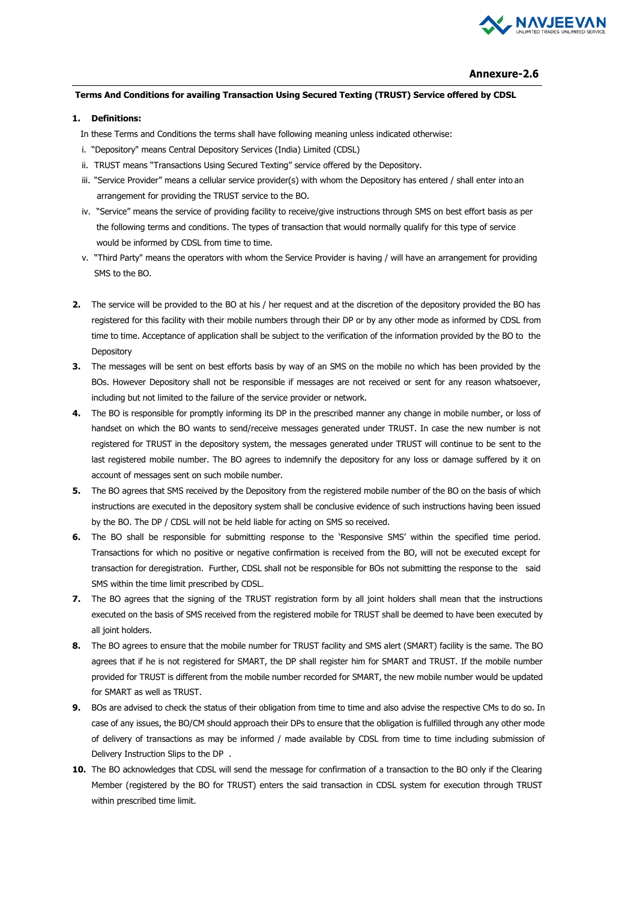

### **Annexure-2.6**

### **Terms And Conditions for availing Transaction Using Secured Texting (TRUST) Service offered by CDSL**

### **1. Definitions:**

In these Terms and Conditions the terms shall have following meaning unless indicated otherwise:

- i. "Depository" means Central Depository Services (India) Limited (CDSL)
- ii. TRUST means "Transactions Using Secured Texting" service offered by the Depository.
- iii. "Service Provider" means a cellular service provider(s) with whom the Depository has entered / shall enter into an arrangement for providing the TRUST service to the BO.
- iv. "Service" means the service of providing facility to receive/give instructions through SMS on best effort basis as per the following terms and conditions. The types of transaction that would normally qualify for this type of service would be informed by CDSL from time to time.
- v. "Third Party" means the operators with whom the Service Provider is having / will have an arrangement for providing SMS to the BO.
- **2.** The service will be provided to the BO at his / her request and at the discretion of the depository provided the BO has registered for this facility with their mobile numbers through their DP or by any other mode as informed by CDSL from time to time. Acceptance of application shall be subject to the verification of the information provided by the BO to the **Depository**
- **3.** The messages will be sent on best efforts basis by way of an SMS on the mobile no which has been provided by the BOs. However Depository shall not be responsible if messages are not received or sent for any reason whatsoever, including but not limited to the failure of the service provider or network.
- **4.** The BO is responsible for promptly informing its DP in the prescribed manner any change in mobile number, or loss of handset on which the BO wants to send/receive messages generated under TRUST. In case the new number is not registered for TRUST in the depository system, the messages generated under TRUST will continue to be sent to the last registered mobile number. The BO agrees to indemnify the depository for any loss or damage suffered by it on account of messages sent on such mobile number.
- **5.** The BO agrees that SMS received by the Depository from the registered mobile number of the BO on the basis of which instructions are executed in the depository system shall be conclusive evidence of such instructions having been issued by the BO. The DP / CDSL will not be held liable for acting on SMS so received.
- **6.** The BO shall be responsible for submitting response to the 'Responsive SMS' within the specified time period. Transactions for which no positive or negative confirmation is received from the BO, will not be executed except for transaction for deregistration. Further, CDSL shall not be responsible for BOs not submitting the response to the said SMS within the time limit prescribed by CDSL.
- **7.** The BO agrees that the signing of the TRUST registration form by all joint holders shall mean that the instructions executed on the basis of SMS received from the registered mobile for TRUST shall be deemed to have been executed by all joint holders.
- **8.** The BO agrees to ensure that the mobile number for TRUST facility and SMS alert (SMART) facility is the same. The BO agrees that if he is not registered for SMART, the DP shall register him for SMART and TRUST. If the mobile number provided for TRUST is different from the mobile number recorded for SMART, the new mobile number would be updated for SMART as well as TRUST.
- **9.** BOs are advised to check the status of their obligation from time to time and also advise the respective CMs to do so. In case of any issues, the BO/CM should approach their DPs to ensure that the obligation is fulfilled through any other mode of delivery of transactions as may be informed / made available by CDSL from time to time including submission of Delivery Instruction Slips to the DP .
- **10.** The BO acknowledges that CDSL will send the message for confirmation of a transaction to the BO only if the Clearing Member (registered by the BO for TRUST) enters the said transaction in CDSL system for execution through TRUST within prescribed time limit.